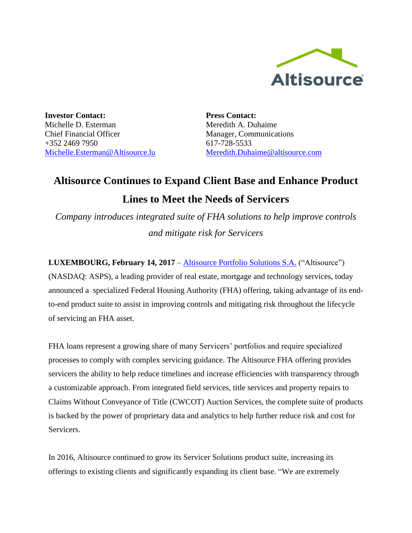

**Investor Contact:** Michelle D. Esterman Chief Financial Officer +352 2469 7950 [Michelle.Esterman@Altisource.lu](mailto:Michelle.Esterman@Altisource.lu) **Press Contact:** Meredith A. Duhaime Manager, Communications 617-728-5533 [Meredith.Duhaime@altisource.com](mailto:meredith.duhaime@altisource.com)

## **Altisource Continues to Expand Client Base and Enhance Product**

## **Lines to Meet the Needs of Servicers**

*Company introduces integrated suite of FHA solutions to help improve controls and mitigate risk for Servicers*

**LUXEMBOURG, February 14, 2017** – [Altisource Portfolio Solutions S.A.](https://www.altisource.com/?utm_campaign=MBAServicing2017&utm_source=PR&utm_medium=PR&utm_content=first) ("Altisource") (NASDAQ: ASPS), a leading provider of real estate, mortgage and technology services, today announced a specialized Federal Housing Authority (FHA) offering, taking advantage of its endto-end product suite to assist in improving controls and mitigating risk throughout the lifecycle of servicing an FHA asset.

FHA loans represent a growing share of many Servicers' portfolios and require specialized processes to comply with complex servicing guidance. The Altisource FHA offering provides servicers the ability to help reduce timelines and increase efficiencies with transparency through a customizable approach. From integrated field services, title services and property repairs to Claims Without Conveyance of Title (CWCOT) Auction Services, the complete suite of products is backed by the power of proprietary data and analytics to help further reduce risk and cost for Servicers.

In 2016, Altisource continued to grow its Servicer Solutions product suite, increasing its offerings to existing clients and significantly expanding its client base. "We are extremely